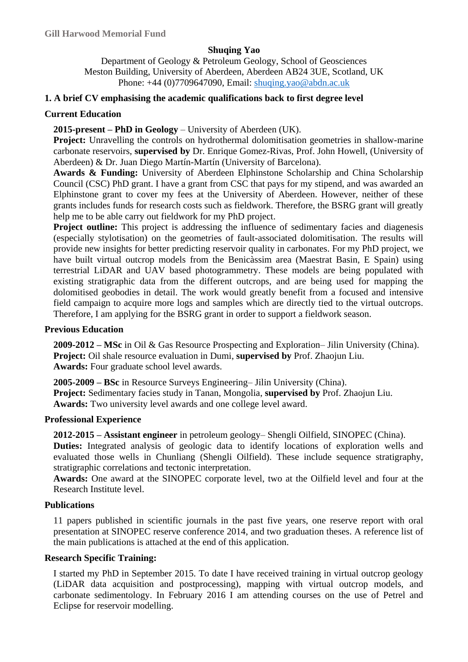## **Shuqing Yao**

Department of Geology & Petroleum Geology, School of Geosciences Meston Building, University of Aberdeen, Aberdeen AB24 3UE, Scotland, UK Phone: +44 (0)7709647090, Email: [shuqing.yao@abdn.ac.uk](mailto:shuqing.yao@abdn.ac.uk)

## **1. A brief CV emphasising the academic qualifications back to first degree level**

### **Current Education**

## **2015-present – PhD in Geology** – University of Aberdeen (UK).

**Project:** Unravelling the controls on hydrothermal dolomitisation geometries in shallow-marine carbonate reservoirs, **supervised by** Dr. Enrique Gomez-Rivas, Prof. John Howell, (University of Aberdeen) & Dr. Juan Diego Mart *f* - Mart *f* (University of Barcelona).

**Awards & Funding:** University of Aberdeen Elphinstone Scholarship and China Scholarship Council (CSC) PhD grant. I have a grant from CSC that pays for my stipend, and was awarded an Elphinstone grant to cover my fees at the University of Aberdeen. However, neither of these grants includes funds for research costs such as fieldwork. Therefore, the BSRG grant will greatly help me to be able carry out fieldwork for my PhD project.

**Project outline:** This project is addressing the influence of sedimentary facies and diagenesis (especially stylotisation) on the geometries of fault-associated dolomitisation. The results will provide new insights for better predicting reservoir quality in carbonates. For my PhD project, we have built virtual outcrop models from the Benicàssim area (Maestrat Basin, E Spain) using terrestrial LiDAR and UAV based photogrammetry. These models are being populated with existing stratigraphic data from the different outcrops, and are being used for mapping the dolomitised geobodies in detail. The work would greatly benefit from a focused and intensive field campaign to acquire more logs and samples which are directly tied to the virtual outcrops. Therefore, I am applying for the BSRG grant in order to support a fieldwork season.

## **Previous Education**

**2009-2012 – MSc** in Oil & Gas Resource Prospecting and Exploration– Jilin University (China). **Project:** Oil shale resource evaluation in Dumi, **supervised by** Prof. Zhaojun Liu. **Awards:** Four graduate school level awards.

**2005-2009 – BSc** in Resource Surveys Engineering– Jilin University (China). **Project:** Sedimentary facies study in Tanan, Mongolia, **supervised by** Prof. Zhaojun Liu. **Awards:** Two university level awards and one college level award.

### **Professional Experience**

**2012-2015 – Assistant engineer** in petroleum geology– Shengli Oilfield, SINOPEC (China).

**Duties:** Integrated analysis of geologic data to identify locations of exploration wells and evaluated those wells in Chunliang (Shengli Oilfield). These include sequence stratigraphy, stratigraphic correlations and tectonic interpretation.

**Awards:** One award at the SINOPEC corporate level, two at the Oilfield level and four at the Research Institute level.

### **Publications**

11 papers published in scientific journals in the past five years, one reserve report with oral presentation at SINOPEC reserve conference 2014, and two graduation theses. A reference list of the main publications is attached at the end of this application.

## **Research Specific Training:**

I started my PhD in September 2015. To date I have received training in virtual outcrop geology (LiDAR data acquisition and postprocessing), mapping with virtual outcrop models, and carbonate sedimentology. In February 2016 I am attending courses on the use of Petrel and Eclipse for reservoir modelling.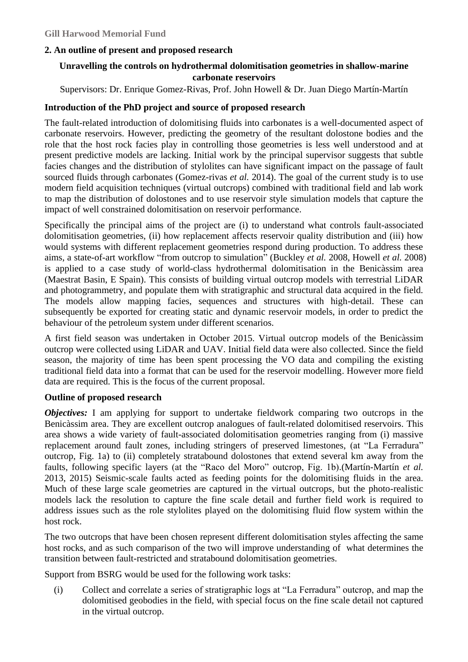## **2. An outline of present and proposed research**

# **Unravelling the controls on hydrothermal dolomitisation geometries in shallow-marine carbonate reservoirs**

Supervisors: Dr. Enrique Gomez-Rivas, Prof. John Howell & Dr. Juan Diego Mart n-Mart n

## **Introduction of the PhD project and source of proposed research**

The fault-related introduction of dolomitising fluids into carbonates is a well-documented aspect of carbonate reservoirs. However, predicting the geometry of the resultant dolostone bodies and the role that the host rock facies play in controlling those geometries is less well understood and at present predictive models are lacking. Initial work by the principal supervisor suggests that subtle facies changes and the distribution of stylolites can have significant impact on the passage of fault sourced fluids through carbonates (Gomez-rivas *et al.* 2014). The goal of the current study is to use modern field acquisition techniques (virtual outcrops) combined with traditional field and lab work to map the distribution of dolostones and to use reservoir style simulation models that capture the impact of well constrained dolomitisation on reservoir performance.

Specifically the principal aims of the project are (i) to understand what controls fault-associated dolomitisation geometries, (ii) how replacement affects reservoir quality distribution and (iii) how would systems with different replacement geometries respond during production. To address these aims, a state-of-art workflow "from outcrop to simulation" (Buckley *et al.* 2008, Howell *et al.* 2008) is applied to a case study of world-class hydrothermal dolomitisation in the Benicàssim area (Maestrat Basin, E Spain). This consists of building virtual outcrop models with terrestrial LiDAR and photogrammetry, and populate them with stratigraphic and structural data acquired in the field. The models allow mapping facies, sequences and structures with high-detail. These can subsequently be exported for creating static and dynamic reservoir models, in order to predict the behaviour of the petroleum system under different scenarios.

A first field season was undertaken in October 2015. Virtual outcrop models of the Benicàssim outcrop were collected using LiDAR and UAV. Initial field data were also collected. Since the field season, the majority of time has been spent processing the VO data and compiling the existing traditional field data into a format that can be used for the reservoir modelling. However more field data are required. This is the focus of the current proposal.

### **Outline of proposed research**

*Objectives:* I am applying for support to undertake fieldwork comparing two outcrops in the Benicàssim area. They are excellent outcrop analogues of fault-related dolomitised reservoirs. This area shows a wide variety of fault-associated dolomitisation geometries ranging from (i) massive replacement around fault zones, including stringers of preserved limestones, (at "La Ferradura" outcrop, Fig. 1a) to (ii) completely stratabound dolostones that extend several km away from the faults, following specific layers (at the "Raco del Moro" outcrop, Fig. 1b).(Mart *f*i-Mart *fi et al.* 2013, 2015) Seismic-scale faults acted as feeding points for the dolomitising fluids in the area. Much of these large scale geometries are captured in the virtual outcrops, but the photo-realistic models lack the resolution to capture the fine scale detail and further field work is required to address issues such as the role stylolites played on the dolomitising fluid flow system within the host rock.

The two outcrops that have been chosen represent different dolomitisation styles affecting the same host rocks, and as such comparison of the two will improve understanding of what determines the transition between fault-restricted and stratabound dolomitisation geometries.

Support from BSRG would be used for the following work tasks:

(i) Collect and correlate a series of stratigraphic logs at "La Ferradura" outcrop, and map the dolomitised geobodies in the field, with special focus on the fine scale detail not captured in the virtual outcrop.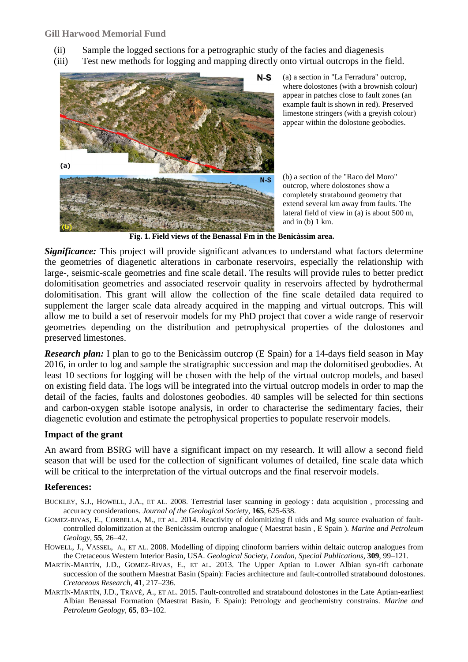- (ii) Sample the logged sections for a petrographic study of the facies and diagenesis
- (iii) Test new methods for logging and mapping directly onto virtual outcrops in the field.



(a) a section in "La Ferradura" outcrop, where dolostones (with a brownish colour) appear in patches close to fault zones (an example fault is shown in red). Preserved limestone stringers (with a greyish colour) appear within the dolostone geobodies.

(b) a section of the "Raco del Moro" outcrop, where dolostones show a completely stratabound geometry that extend several km away from faults. The lateral field of view in (a) is about 500 m, and in (b) 1 km.

**Fig. 1. Field views of the Benassal Fm in the Benicàssim area.**

**Significance:** This project will provide significant advances to understand what factors determine the geometries of diagenetic alterations in carbonate reservoirs, especially the relationship with large-, seismic-scale geometries and fine scale detail. The results will provide rules to better predict dolomitisation geometries and associated reservoir quality in reservoirs affected by hydrothermal dolomitisation. This grant will allow the collection of the fine scale detailed data required to supplement the larger scale data already acquired in the mapping and virtual outcrops. This will allow me to build a set of reservoir models for my PhD project that cover a wide range of reservoir geometries depending on the distribution and petrophysical properties of the dolostones and preserved limestones.

*Research plan:* I plan to go to the Benic assim outcrop (E Spain) for a 14-days field season in May 2016, in order to log and sample the stratigraphic succession and map the dolomitised geobodies. At least 10 sections for logging will be chosen with the help of the virtual outcrop models, and based on existing field data. The logs will be integrated into the virtual outcrop models in order to map the detail of the facies, faults and dolostones geobodies. 40 samples will be selected for thin sections and carbon-oxygen stable isotope analysis, in order to characterise the sedimentary facies, their diagenetic evolution and estimate the petrophysical properties to populate reservoir models.

### **Impact of the grant**

An award from BSRG will have a significant impact on my research. It will allow a second field season that will be used for the collection of significant volumes of detailed, fine scale data which will be critical to the interpretation of the virtual outcrops and the final reservoir models.

## **References:**

BUCKLEY, S.J., HOWELL, J.A., ET AL. 2008. Terrestrial laser scanning in geology : data acquisition , processing and accuracy considerations. *Journal of the Geological Society*, **165**, 625-638.

- GOMEZ-RIVAS, E., CORBELLA, M., ET AL. 2014. Reactivity of dolomitizing fl uids and Mg source evaluation of faultcontrolled dolomitization at the Benicàssim outcrop analogue ( Maestrat basin , E Spain ). *Marine and Petroleum Geology*, **55**, 26–42.
- HOWELL, J., VASSEL, A., ET AL. 2008. Modelling of dipping clinoform barriers within deltaic outcrop analogues from the Cretaceous Western Interior Basin, USA. *Geological Society, London, Special Publications*, **309**, 99–121.
- MARTÍN-MARTÍN, J.D., GOMEZ-RIVAS, E., ET AL. 2013. The Upper Aptian to Lower Albian syn-rift carbonate succession of the southern Maestrat Basin (Spain): Facies architecture and fault-controlled stratabound dolostones. *Cretaceous Research*, **41**, 217–236.
- MART N-MART N, J.D., TRAVÉ, A., ET AL. 2015. Fault-controlled and stratabound dolostones in the Late Aptian-earliest Albian Benassal Formation (Maestrat Basin, E Spain): Petrology and geochemistry constrains. *Marine and Petroleum Geology*, **65**, 83–102.